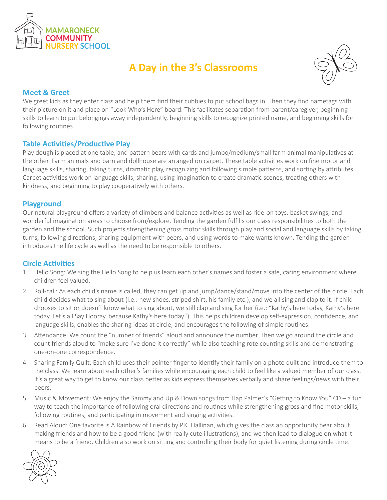

# **A Day in the 3's Classrooms**



## **Meet & Greet**

We greet kids as they enter class and help them find their cubbies to put school bags in. Then they find nametags with their picture on it and place on "Look Who's Here" board. This facilitates separation from parent/caregiver, beginning skills to learn to put belongings away independently, beginning skills to recognize printed name, and beginning skills for following routines.

## **Table Activities/Productive Play**

Play dough is placed at one table, and pattern bears with cards and jumbo/medium/small farm animal manipulatives at the other. Farm animals and barn and dollhouse are arranged on carpet. These table activities work on fine motor and language skills, sharing, taking turns, dramatic play, recognizing and following simple patterns, and sorting by attributes. Carpet activities work on language skills, sharing, using imagination to create dramatic scenes, treating others with kindness, and beginning to play cooperatively with others.

#### **Playground**

Our natural playground offers a variety of climbers and balance activities as well as ride-on toys, basket swings, and wonderful imagination areas to choose from/explore. Tending the garden fulfills our class responsibilities to both the garden and the school. Such projects strengthening gross motor skills through play and social and language skills by taking turns, following directions, sharing equipment with peers, and using words to make wants known. Tending the garden introduces the life cycle as well as the need to be responsible to others.

#### **Circle Activities**

- 1. Hello Song: We sing the Hello Song to help us learn each other's names and foster a safe, caring environment where children feel valued.
- 2. Roll-call: As each child's name is called, they can get up and jump/dance/stand/move into the center of the circle. Each child decides what to sing about (i.e.: new shoes, striped shirt, his family etc.), and we all sing and clap to it. If child chooses to sit or doesn't know what to sing about, we still clap and sing for her (i.e.: "Kathy's here today, Kathy's here today, Let's all Say Hooray, because Kathy's here today"). This helps children develop self-expression, confidence, and language skills, enables the sharing ideas at circle, and encourages the following of simple routines.
- 3. Attendance: We count the "number of friends" aloud and announce the number. Then we go around the circle and count friends aloud to "make sure I've done it correctly" while also teaching rote counting skills and demonstrating one-on-one correspondence.
- 4. Sharing Family Quilt: Each child uses their pointer finger to identify their family on a photo quilt and introduce them to the class. We learn about each other's families while encouraging each child to feel like a valued member of our class. It's a great way to get to know our class better as kids express themselves verbally and share feelings/news with their peers.
- 5. Music & Movement: We enjoy the Sammy and Up & Down songs from Hap Palmer's "Getting to Know You" CD a fun way to teach the importance of following oral directions and routines while strengthening gross and fine motor skills, following routines, and participating in movement and singing activities.
- 6. Read Aloud: One favorite is A Rainbow of Friends by P.K. Hallinan, which gives the class an opportunity hear about making friends and how to be a good friend (with really cute illustrations), and we then lead to dialogue on what it means to be a friend. Children also work on sitting and controlling their body for quiet listening during circle time.